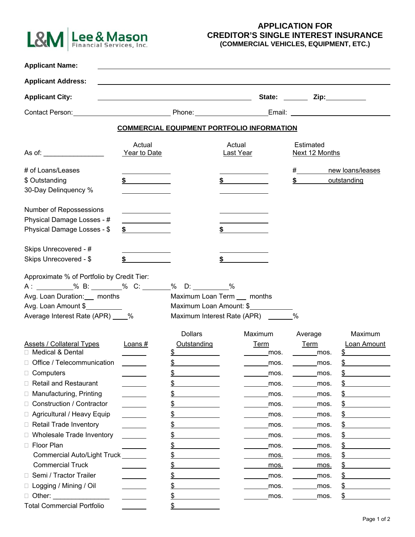

## **APPLICATION FOR CREDITOR'S SINGLE INTEREST INSURANCE (COMMERCIAL VEHICLES, EQUIPMENT, ETC.)**

| <b>Applicant Name:</b>                                                                                                                                                                                                         |                                                                                                                                                                                                                                      |                                                                                                                                                                                                                                |                                                               |                         |                                                                                                                                                                                                                                |
|--------------------------------------------------------------------------------------------------------------------------------------------------------------------------------------------------------------------------------|--------------------------------------------------------------------------------------------------------------------------------------------------------------------------------------------------------------------------------------|--------------------------------------------------------------------------------------------------------------------------------------------------------------------------------------------------------------------------------|---------------------------------------------------------------|-------------------------|--------------------------------------------------------------------------------------------------------------------------------------------------------------------------------------------------------------------------------|
| <b>Applicant Address:</b>                                                                                                                                                                                                      |                                                                                                                                                                                                                                      |                                                                                                                                                                                                                                |                                                               |                         |                                                                                                                                                                                                                                |
| <b>Applicant City:</b>                                                                                                                                                                                                         |                                                                                                                                                                                                                                      | <u> 1989 - Johann Barn, fransk politik amerikansk politik (d. 1989)</u>                                                                                                                                                        |                                                               | State: <u>Zip:</u> Zip: |                                                                                                                                                                                                                                |
| Contact Person:                                                                                                                                                                                                                | <u> 1990 - Johann Barbara, martin a</u>                                                                                                                                                                                              | Phone: The contract of the contract of the contract of the contract of the contract of the contract of the contract of the contract of the contract of the contract of the contract of the contract of the contract of the con |                                                               |                         | Email: Email: Email: Email: Email: Email: Email: Email: Email: Email: Email: Email: Email: Email: Email: Email: Email: Email: Email: Email: Email: Email: Email: Email: Email: Email: Email: Email: Email: Email: Email: Email |
|                                                                                                                                                                                                                                |                                                                                                                                                                                                                                      | <b>COMMERCIAL EQUIPMENT PORTFOLIO INFORMATION</b>                                                                                                                                                                              |                                                               |                         |                                                                                                                                                                                                                                |
| As of: the contract of the contract of the contract of the contract of the contract of the contract of the contract of the contract of the contract of the contract of the contract of the contract of the contract of the con | Actual<br>Actual<br>Year to Date<br>Last Year                                                                                                                                                                                        |                                                                                                                                                                                                                                | Estimated<br>Next 12 Months                                   |                         |                                                                                                                                                                                                                                |
| # of Loans/Leases                                                                                                                                                                                                              |                                                                                                                                                                                                                                      |                                                                                                                                                                                                                                |                                                               | $\#$ and $\#$           | new loans/leases                                                                                                                                                                                                               |
| \$ Outstanding                                                                                                                                                                                                                 |                                                                                                                                                                                                                                      |                                                                                                                                                                                                                                | $\sim$                                                        | \$                      | outstanding                                                                                                                                                                                                                    |
| 30-Day Delinquency %                                                                                                                                                                                                           |                                                                                                                                                                                                                                      |                                                                                                                                                                                                                                |                                                               |                         |                                                                                                                                                                                                                                |
| Number of Repossessions                                                                                                                                                                                                        | <u>and the community of the community of the community of the community of the community of the community of the community of the community of the community of the community of the community of the community of the community</u> |                                                                                                                                                                                                                                |                                                               |                         |                                                                                                                                                                                                                                |
| Physical Damage Losses - #                                                                                                                                                                                                     | <u> 1989 - Johann Barn, mars eta bainar e</u>                                                                                                                                                                                        |                                                                                                                                                                                                                                |                                                               |                         |                                                                                                                                                                                                                                |
| Physical Damage Losses - \$                                                                                                                                                                                                    | $\sim$                                                                                                                                                                                                                               | \$                                                                                                                                                                                                                             |                                                               |                         |                                                                                                                                                                                                                                |
| Skips Unrecovered - #                                                                                                                                                                                                          |                                                                                                                                                                                                                                      |                                                                                                                                                                                                                                |                                                               |                         |                                                                                                                                                                                                                                |
| Skips Unrecovered - \$                                                                                                                                                                                                         | \$                                                                                                                                                                                                                                   |                                                                                                                                                                                                                                |                                                               |                         |                                                                                                                                                                                                                                |
| A: ___________% B: ________% C: _______% D: _________%<br>Avg. Loan Duration: __ months<br>Avg. Loan Amount \$<br>Average Interest Rate (APR) ____%                                                                            |                                                                                                                                                                                                                                      | Maximum Loan Term __ months                                                                                                                                                                                                    | Maximum Loan Amount: \$<br>Maximum Interest Rate (APR) ______ | %                       |                                                                                                                                                                                                                                |
|                                                                                                                                                                                                                                |                                                                                                                                                                                                                                      | <b>Dollars</b>                                                                                                                                                                                                                 | Maximum                                                       | Average                 | Maximum                                                                                                                                                                                                                        |
| <b>Assets / Collateral Types</b>                                                                                                                                                                                               | Loans#                                                                                                                                                                                                                               | Outstanding                                                                                                                                                                                                                    | <b>Term</b>                                                   | <b>Term</b>             | Loan Amount                                                                                                                                                                                                                    |
| □ Medical & Dental                                                                                                                                                                                                             |                                                                                                                                                                                                                                      | <u>\$</u>                                                                                                                                                                                                                      | mos.                                                          | mos.                    | \$                                                                                                                                                                                                                             |
| □ Office / Telecommunication                                                                                                                                                                                                   |                                                                                                                                                                                                                                      | \$                                                                                                                                                                                                                             | mos.                                                          | mos.                    | \$                                                                                                                                                                                                                             |
| Computers<br>Ш                                                                                                                                                                                                                 |                                                                                                                                                                                                                                      | \$                                                                                                                                                                                                                             | mos.                                                          | mos.                    | <u>\$</u>                                                                                                                                                                                                                      |
| <b>Retail and Restaurant</b><br>⊔                                                                                                                                                                                              |                                                                                                                                                                                                                                      | \$                                                                                                                                                                                                                             | mos.                                                          | mos.                    | \$                                                                                                                                                                                                                             |
| Manufacturing, Printing<br>ш                                                                                                                                                                                                   |                                                                                                                                                                                                                                      | \$                                                                                                                                                                                                                             | mos.                                                          | mos.                    | \$                                                                                                                                                                                                                             |
| □ Construction / Contractor                                                                                                                                                                                                    |                                                                                                                                                                                                                                      | \$                                                                                                                                                                                                                             | mos.                                                          | mos.                    | \$                                                                                                                                                                                                                             |
| □ Agricultural / Heavy Equip                                                                                                                                                                                                   |                                                                                                                                                                                                                                      | \$                                                                                                                                                                                                                             | mos.                                                          | mos.                    | \$                                                                                                                                                                                                                             |
| Retail Trade Inventory                                                                                                                                                                                                         |                                                                                                                                                                                                                                      | \$                                                                                                                                                                                                                             | mos.                                                          | mos.                    | \$                                                                                                                                                                                                                             |
| Wholesale Trade Inventory                                                                                                                                                                                                      |                                                                                                                                                                                                                                      | \$                                                                                                                                                                                                                             | mos.                                                          | mos.                    | \$                                                                                                                                                                                                                             |
| □ Floor Plan                                                                                                                                                                                                                   |                                                                                                                                                                                                                                      | \$                                                                                                                                                                                                                             | mos.                                                          | mos.                    | \$                                                                                                                                                                                                                             |
| Commercial Auto/Light Truck                                                                                                                                                                                                    |                                                                                                                                                                                                                                      | \$                                                                                                                                                                                                                             | mos.                                                          | mos.                    | \$                                                                                                                                                                                                                             |
| <b>Commercial Truck</b>                                                                                                                                                                                                        |                                                                                                                                                                                                                                      | \$                                                                                                                                                                                                                             | mos.                                                          | mos.                    | \$                                                                                                                                                                                                                             |
| □ Semi / Tractor Trailer                                                                                                                                                                                                       |                                                                                                                                                                                                                                      | \$                                                                                                                                                                                                                             | mos.                                                          | mos.                    | \$                                                                                                                                                                                                                             |
| □ Logging / Mining / Oil                                                                                                                                                                                                       |                                                                                                                                                                                                                                      | \$                                                                                                                                                                                                                             | mos.                                                          | mos.                    | \$                                                                                                                                                                                                                             |
| □ Other:                                                                                                                                                                                                                       |                                                                                                                                                                                                                                      | \$                                                                                                                                                                                                                             | mos.                                                          | mos.                    | \$                                                                                                                                                                                                                             |
| <b>Total Commercial Portfolio</b>                                                                                                                                                                                              |                                                                                                                                                                                                                                      | \$                                                                                                                                                                                                                             |                                                               |                         |                                                                                                                                                                                                                                |